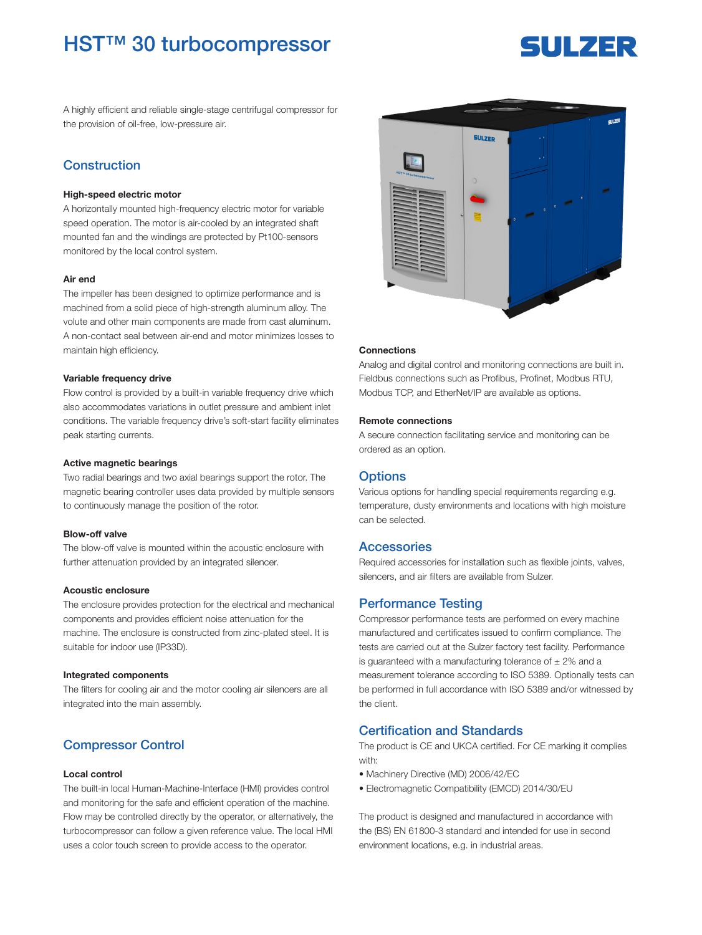## HST™ 30 turbocompressor

# **SULZER**

A highly efficient and reliable single-stage centrifugal compressor for the provision of oil-free, low-pressure air.

## **Construction**

#### High-speed electric motor

A horizontally mounted high-frequency electric motor for variable speed operation. The motor is air-cooled by an integrated shaft mounted fan and the windings are protected by Pt100-sensors monitored by the local control system.

#### Air end

The impeller has been designed to optimize performance and is machined from a solid piece of high-strength aluminum alloy. The volute and other main components are made from cast aluminum. A non-contact seal between air-end and motor minimizes losses to maintain high efficiency.

#### Variable frequency drive

Flow control is provided by a built-in variable frequency drive which also accommodates variations in outlet pressure and ambient inlet conditions. The variable frequency drive's soft-start facility eliminates peak starting currents.

#### Active magnetic bearings

Two radial bearings and two axial bearings support the rotor. The magnetic bearing controller uses data provided by multiple sensors to continuously manage the position of the rotor.

#### Blow-off valve

The blow-off valve is mounted within the acoustic enclosure with further attenuation provided by an integrated silencer.

#### Acoustic enclosure

The enclosure provides protection for the electrical and mechanical components and provides efficient noise attenuation for the machine. The enclosure is constructed from zinc-plated steel. It is suitable for indoor use (IP33D).

#### Integrated components

The filters for cooling air and the motor cooling air silencers are all integrated into the main assembly.

## Compressor Control

#### Local control

The built-in local Human-Machine-Interface (HMI) provides control and monitoring for the safe and efficient operation of the machine. Flow may be controlled directly by the operator, or alternatively, the turbocompressor can follow a given reference value. The local HMI uses a color touch screen to provide access to the operator.



#### **Connections**

Analog and digital control and monitoring connections are built in. Fieldbus connections such as Profibus, Profinet, Modbus RTU, Modbus TCP, and EtherNet/IP are available as options.

#### Remote connections

A secure connection facilitating service and monitoring can be ordered as an option.

#### **Options**

Various options for handling special requirements regarding e.g. temperature, dusty environments and locations with high moisture can be selected.

#### **Accessories**

Required accessories for installation such as flexible joints, valves, silencers, and air filters are available from Sulzer.

### Performance Testing

Compressor performance tests are performed on every machine manufactured and certificates issued to confirm compliance. The tests are carried out at the Sulzer factory test facility. Performance is guaranteed with a manufacturing tolerance of  $\pm 2\%$  and a measurement tolerance according to ISO 5389. Optionally tests can be performed in full accordance with ISO 5389 and/or witnessed by the client.

## Certification and Standards

The product is CE and UKCA certified. For CE marking it complies with:

- Machinery Directive (MD) 2006/42/EC
- Electromagnetic Compatibility (EMCD) 2014/30/EU

The product is designed and manufactured in accordance with the (BS) EN 61800-3 standard and intended for use in second environment locations, e.g. in industrial areas.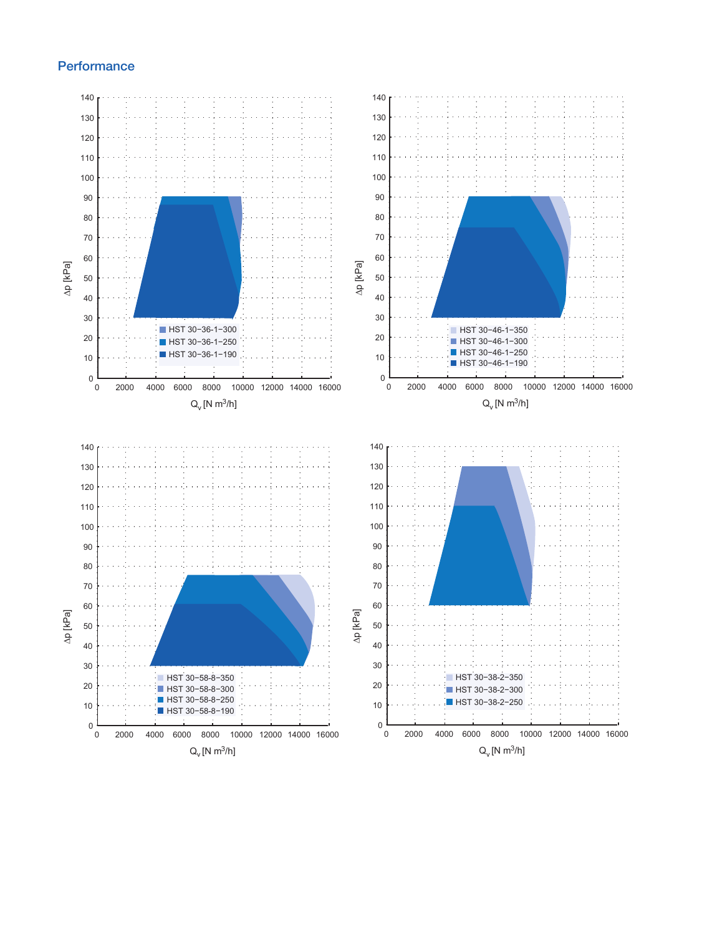## **Performance**

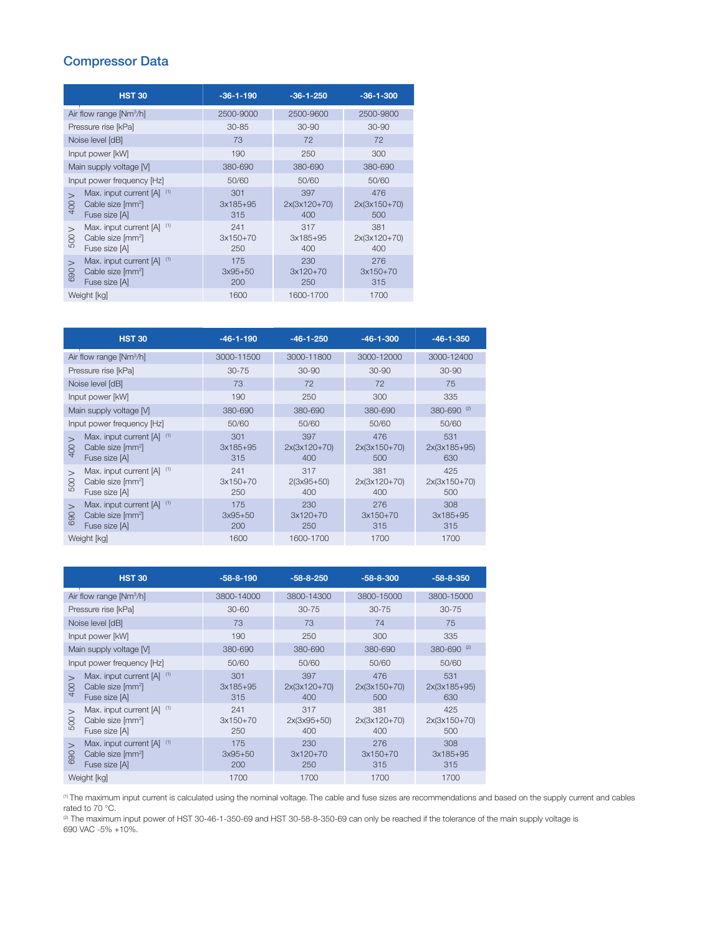## Compressor Data

|                                     | <b>HST 30</b>                                                                   | $-36-1-190$              | $-36-1-250$                | $-36-1-300$                  |
|-------------------------------------|---------------------------------------------------------------------------------|--------------------------|----------------------------|------------------------------|
| Air flow range [Nm <sup>3</sup> /h] |                                                                                 | 2500-9000                | 2500-9600                  | 2500-9800                    |
| Pressure rise [kPa]                 |                                                                                 | $30 - 85$                | $30 - 90$                  | 30-90                        |
| Noise level [dB]                    |                                                                                 | 73                       | 72                         | 72                           |
| Input power [kW]                    |                                                                                 | 190                      | 250                        | 300                          |
| Main supply voltage [V]             |                                                                                 | 380-690                  | 380-690                    | 380-690                      |
| Input power frequency [Hz]          |                                                                                 | 50/60                    | 50/60                      | 50/60                        |
| 400                                 | Max. input current [A] (1)<br>Cable size [mm <sup>2</sup> ]<br>Fuse size [A]    | 301<br>$3x185+95$<br>315 | 397<br>2x(3x120+70)<br>400 | 476<br>$2x(3x150+70)$<br>500 |
| $\geq$<br>500                       | (1)<br>Max. input current [A]<br>Cable size [mm <sup>2</sup> ]<br>Fuse size [A] | 241<br>$3x150+70$<br>250 | 317<br>3x185+95<br>400     | 381<br>2x(3x120+70)<br>400   |
| $\geq$<br>႙ၟ<br>$\circ$             | (1)<br>Max. input current [A]<br>Cable size [mm <sup>2</sup> ]<br>Fuse size [A] | 175<br>$3x95+50$<br>200  | 230<br>3x120+70<br>250     | 276<br>$3x150+70$<br>315     |
| Weight [kg]                         |                                                                                 | 1600                     | 1600-1700                  | 1700                         |

|                                     | <b>HST 30</b>                                                                | $-46-1-190$              | $-46-1-250$                  | $-46-1-300$                  | $-46-1-350$                  |
|-------------------------------------|------------------------------------------------------------------------------|--------------------------|------------------------------|------------------------------|------------------------------|
| Air flow range [Nm <sup>3</sup> /h] |                                                                              | 3000-11500               | 3000-11800                   | 3000-12000                   | 3000-12400                   |
| Pressure rise [kPa]                 |                                                                              | $30 - 75$                | $30 - 90$                    | $30 - 90$                    | $30 - 90$                    |
| Noise level [dB]                    |                                                                              | 73                       | 72                           | 72                           | 75                           |
| Input power [kW]                    |                                                                              | 190                      | 250                          | 300                          | 335                          |
| Main supply voltage [V]             |                                                                              | 380-690                  | 380-690                      | 380-690                      | 380-690 (2)                  |
| Input power frequency [Hz]          |                                                                              | 50/60                    | 50/60                        | 50/60                        | 50/60                        |
| $\mathbf{I}$<br>400                 | Max. input current [A] (1)<br>Cable size [mm <sup>2</sup> ]<br>Fuse size [A] | 301<br>$3x185+95$<br>315 | 397<br>$2x(3x120+70)$<br>400 | 476<br>$2x(3x150+70)$<br>500 | 531<br>$2x(3x185+95)$<br>630 |
| $\mathbf{I}$<br>500                 | Max. input current [A] (1)<br>Cable size [mm <sup>2</sup> ]<br>Fuse size [A] | 241<br>$3x150+70$<br>250 | 317<br>$2(3x95+50)$<br>400   | 381<br>$2x(3x120+70)$<br>400 | 425<br>$2x(3x150+70)$<br>500 |
| $\mathbf{I}$<br>690                 | Max. input current [A] (1)<br>Cable size [mm <sup>2</sup> ]<br>Fuse size [A] | 175<br>$3x95+50$<br>200  | 230<br>$3x120+70$<br>250     | 276<br>$3x150+70$<br>315     | 308<br>$3x185+95$<br>315     |
| Weight [kg]                         |                                                                              | 1600                     | 1600-1700                    | 1700                         | 1700                         |

| <b>HST 30</b>                                                                                               | $-58-8-190$              | $-58-8-250$                  | $-58-8-300$                  | $-58-8-350$                  |
|-------------------------------------------------------------------------------------------------------------|--------------------------|------------------------------|------------------------------|------------------------------|
| Air flow range $[Nm^3/h]$                                                                                   | 3800-14000               | 3800-14300                   | 3800-15000                   | 3800-15000                   |
| Pressure rise [kPa]                                                                                         | $30 - 60$                | $30 - 75$                    | $30 - 75$                    | $30 - 75$                    |
| Noise level [dB]                                                                                            | 73                       | 73                           | 74                           | 75                           |
| Input power [kW]                                                                                            | 190                      | 250                          | 300                          | 335                          |
| Main supply voltage M                                                                                       | 380-690                  | 380-690                      | 380-690                      | 380-690 (2)                  |
| Input power frequency [Hz]                                                                                  | 50/60                    | 50/60                        | 50/60                        | 50/60                        |
| Max. input current [A] (1)<br>$\mathbf{I}$<br>Cable size [mm <sup>2</sup> ]<br>$rac{1}{2}$<br>Fuse size [A] | 301<br>$3x185+95$<br>315 | 397<br>$2x(3x120+70)$<br>400 | 476<br>$2x(3x150+70)$<br>500 | 531<br>$2x(3x185+95)$<br>630 |
| Max. input current [A] (1)<br>$\mathbf{I}$<br>Cable size [mm <sup>2</sup> ]<br>500<br>Fuse size [A]         | 241<br>$3x150+70$<br>250 | 317<br>$2x(3x95+50)$<br>400  | 381<br>$2x(3x120+70)$<br>400 | 425<br>$2x(3x150+70)$<br>500 |
| Max. input current [A] (1)<br>$\geq$<br>Cable size [mm <sup>2</sup> ]<br>690<br>Fuse size [A]               | 175<br>$3x95+50$<br>200  | 230<br>$3x120+70$<br>250     | 276<br>$3x150+70$<br>315     | 308<br>$3x185+95$<br>315     |
| Weight [kg]                                                                                                 | 1700                     | 1700                         | 1700                         | 1700                         |

(1) The maximum input current is calculated using the nominal voltage. The cable and fuse sizes are recommendations and based on the supply current and cables rated to 70 °C.

(2) The maximum input power of HST 30-46-1-350-69 and HST 30-58-8-350-69 can only be reached if the tolerance of the main supply voltage is 690 VAC -5% +10%.